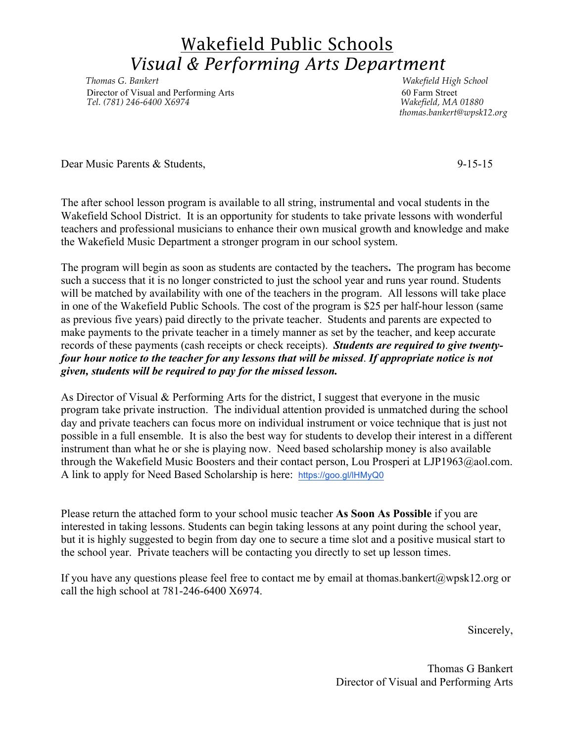## Wakefield Public Schools *Visual & Performing Arts Department*

*Thomas G. Bankert Wakefield High School Director of Visual and Performing Arts* 60 Farm Street<br> *Tel.* (781) 246-6400 X6974<br> *Makefield, MA 01880 Tel. (781) 246-6400 X6974 Wakefield, MA 01880*

 *thomas.bankert@wpsk12.org*

Dear Music Parents & Students, 9-15-15

The after school lesson program is available to all string, instrumental and vocal students in the Wakefield School District. It is an opportunity for students to take private lessons with wonderful teachers and professional musicians to enhance their own musical growth and knowledge and make the Wakefield Music Department a stronger program in our school system.

The program will begin as soon as students are contacted by the teachers**.** The program has become such a success that it is no longer constricted to just the school year and runs year round. Students will be matched by availability with one of the teachers in the program. All lessons will take place in one of the Wakefield Public Schools. The cost of the program is \$25 per half-hour lesson (same as previous five years) paid directly to the private teacher. Students and parents are expected to make payments to the private teacher in a timely manner as set by the teacher, and keep accurate records of these payments (cash receipts or check receipts). *Students are required to give twentyfour hour notice to the teacher for any lessons that will be missed*. *If appropriate notice is not given, students will be required to pay for the missed lesson.*

As Director of Visual & Performing Arts for the district, I suggest that everyone in the music program take private instruction. The individual attention provided is unmatched during the school day and private teachers can focus more on individual instrument or voice technique that is just not possible in a full ensemble. It is also the best way for students to develop their interest in a different instrument than what he or she is playing now. Need based scholarship money is also available through the Wakefield Music Boosters and their contact person, Lou Prosperi at LJP1963@aol.com. A link to apply for Need Based Scholarship is here: https://goo.gl/lHMyQ0

Please return the attached form to your school music teacher **As Soon As Possible** if you are interested in taking lessons. Students can begin taking lessons at any point during the school year, but it is highly suggested to begin from day one to secure a time slot and a positive musical start to the school year. Private teachers will be contacting you directly to set up lesson times.

If you have any questions please feel free to contact me by email at thomas.bankert@wpsk12.org or call the high school at 781-246-6400 X6974.

Sincerely,

Thomas G Bankert Director of Visual and Performing Arts